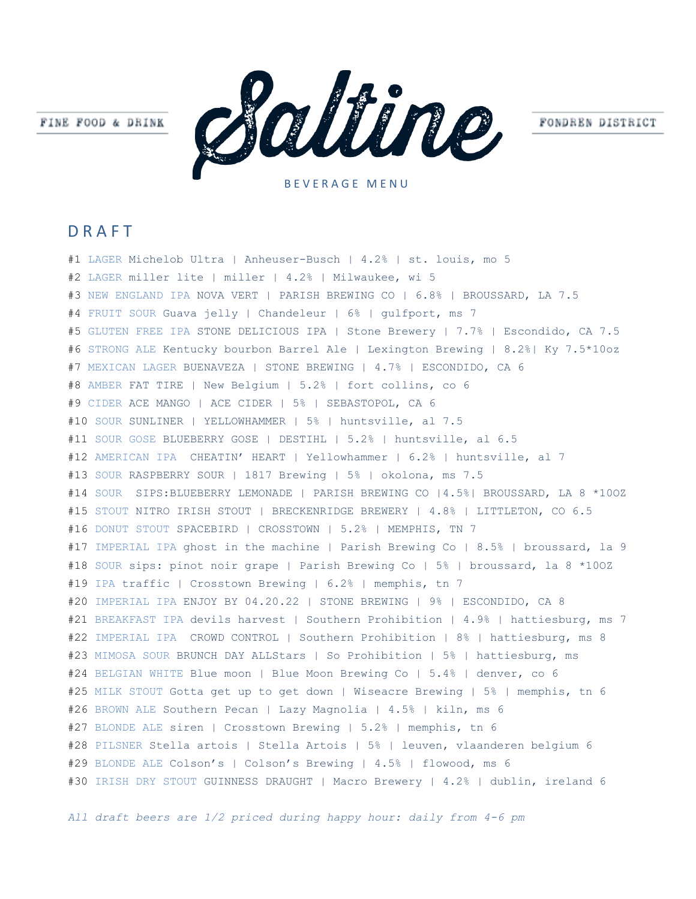FINE FOOD & DRINK



FONDREN DISTRICT

B E V E R A G E M E N U

### **DRAFT**

#1 LAGER Michelob Ultra | Anheuser-Busch | 4.2% | st. louis, mo 5 #2 LAGER miller lite | miller | 4.2% | Milwaukee, wi 5 #3 NEW ENGLAND IPA NOVA VERT | PARISH BREWING CO | 6.8% | BROUSSARD, LA 7.5 #4 FRUIT SOUR Guava jelly | Chandeleur | 6% | gulfport, ms 7 #5 GLUTEN FREE IPA STONE DELICIOUS IPA | Stone Brewery | 7.7% | Escondido, CA 7.5 #6 STRONG ALE Kentucky bourbon Barrel Ale | Lexington Brewing | 8.2%| Ky 7.5\*10oz #7 MEXICAN LAGER BUENAVEZA | STONE BREWING | 4.7% | ESCONDIDO, CA 6 #8 AMBER FAT TIRE | New Belgium | 5.2% | fort collins, co 6 #9 CIDER ACE MANGO | ACE CIDER | 5% | SEBASTOPOL, CA 6 #10 SOUR SUNLINER | YELLOWHAMMER | 5% | huntsville, al 7.5 #11 SOUR GOSE BLUEBERRY GOSE | DESTIHL | 5.2% | huntsville, al 6.5 #12 AMERICAN IPA CHEATIN' HEART | Yellowhammer | 6.2% | huntsville, al 7 #13 SOUR RASPBERRY SOUR | 1817 Brewing | 5% | okolona, ms 7.5 #14 SOUR SIPS:BLUEBERRY LEMONADE | PARISH BREWING CO |4.5%| BROUSSARD, LA 8 \*10OZ #15 STOUT NITRO IRISH STOUT | BRECKENRIDGE BREWERY | 4.8% | LITTLETON, CO 6.5 #16 DONUT STOUT SPACEBIRD | CROSSTOWN | 5.2% | MEMPHIS, TN 7 #17 IMPERIAL IPA ghost in the machine | Parish Brewing Co | 8.5% | broussard, la 9 #18 SOUR sips: pinot noir grape | Parish Brewing Co | 5% | broussard, la 8 \*10OZ #19 IPA traffic | Crosstown Brewing | 6.2% | memphis, tn 7 #20 IMPERIAL IPA ENJOY BY 04.20.22 | STONE BREWING | 9% | ESCONDIDO, CA 8 #21 BREAKFAST IPA devils harvest | Southern Prohibition | 4.9% | hattiesburg, ms 7 #22 IMPERIAL IPA CROWD CONTROL | Southern Prohibition | 8% | hattiesburg, ms 8 #23 MIMOSA SOUR BRUNCH DAY ALLStars | So Prohibition | 5% | hattiesburg, ms #24 BELGIAN WHITE Blue moon | Blue Moon Brewing Co | 5.4% | denver, co 6 #25 MILK STOUT Gotta get up to get down | Wiseacre Brewing | 5% | memphis, tn 6 #26 BROWN ALE Southern Pecan | Lazy Magnolia | 4.5% | kiln, ms 6 #27 BLONDE ALE siren | Crosstown Brewing | 5.2% | memphis, tn 6 #28 PILSNER Stella artois | Stella Artois | 5% | leuven, vlaanderen belgium 6 #29 BLONDE ALE Colson's | Colson's Brewing | 4.5% | flowood, ms 6 #30 IRISH DRY STOUT GUINNESS DRAUGHT | Macro Brewery | 4.2% | dublin, ireland 6

*All draft beers are 1/2 priced during happy hour: daily from 4-6 pm*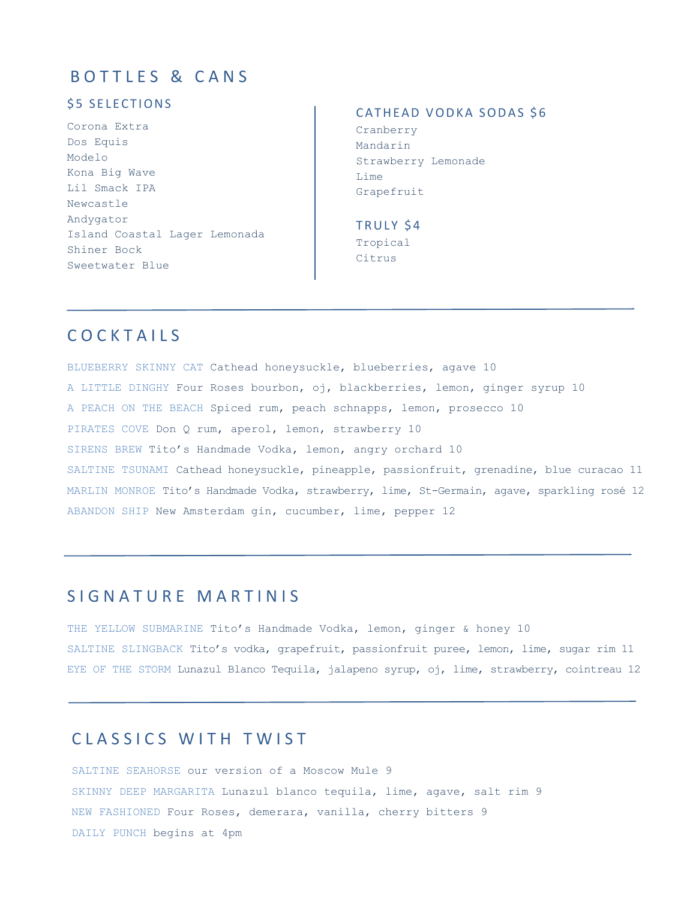# BOTTLES & CANS

#### **\$5 SELECTIONS**

Corona Extra Dos Equis Modelo Kona Big Wave Lil Smack IPA Newcastle Andygator Island Coastal Lager Lemonada Shiner Bock Sweetwater Blue

### CATHEAD VODKA SODAS \$6

Cranberry Mandarin Strawberry Lemonade Lime Grapefruit

### TRULY \$4

Tropical Citrus

## COCKTAILS

BLUEBERRY SKINNY CAT Cathead honeysuckle, blueberries, agave 10 A LITTLE DINGHY Four Roses bourbon, oj, blackberries, lemon, ginger syrup 10 A PEACH ON THE BEACH Spiced rum, peach schnapps, lemon, prosecco 10 PIRATES COVE Don Q rum, aperol, lemon, strawberry 10 SIRENS BREW Tito's Handmade Vodka, lemon, angry orchard 10 SALTINE TSUNAMI Cathead honeysuckle, pineapple, passionfruit, grenadine, blue curacao 11 MARLIN MONROE Tito's Handmade Vodka, strawberry, lime, St-Germain, agave, sparkling rosé 12 ABANDON SHIP New Amsterdam gin, cucumber, lime, pepper 12

### SIGNATURE MARTINIS

THE YELLOW SUBMARINE Tito's Handmade Vodka, lemon, ginger & honey 10 SALTINE SLINGBACK Tito's vodka, grapefruit, passionfruit puree, lemon, lime, sugar rim 11 EYE OF THE STORM Lunazul Blanco Tequila, jalapeno syrup, oj, lime, strawberry, cointreau 12

### CLASSICS WITH TWIST

SALTINE SEAHORSE our version of a Moscow Mule 9 SKINNY DEEP MARGARITA Lunazul blanco tequila, lime, agave, salt rim 9 NEW FASHIONED Four Roses, demerara, vanilla, cherry bitters 9 DAILY PUNCH begins at 4pm